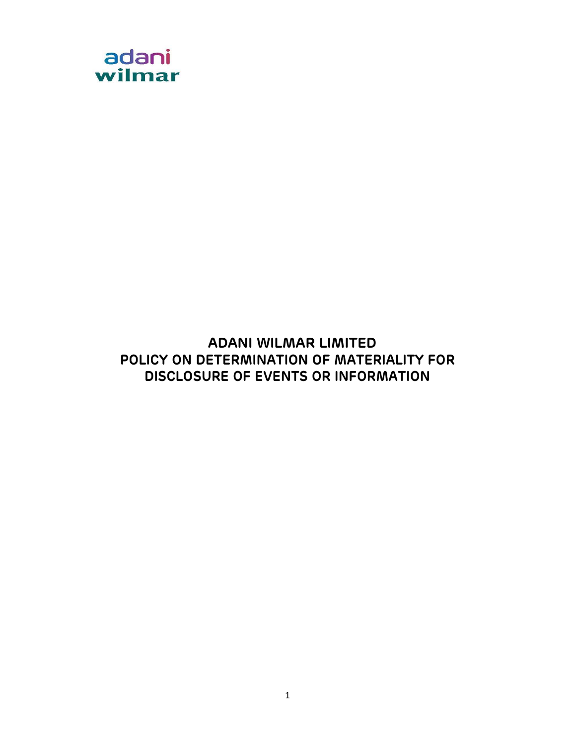

# ADANI WILMAR LIMITED POLICY ON DETERMINATION OF MATERIALITY FOR DISCLOSURE OF EVENTS OR INFORMATION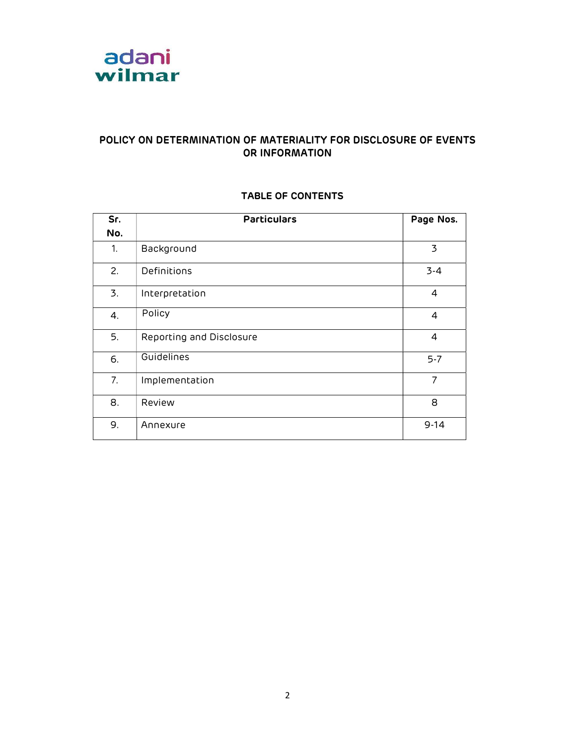

### POLICY ON DETERMINATION OF MATERIALITY FOR DISCLOSURE OF EVENTS OR INFORMATION

| Sr. | <b>Particulars</b>       | Page Nos.      |
|-----|--------------------------|----------------|
| No. |                          |                |
| 1.  | Background               | 3              |
| 2.  | Definitions              | $3 - 4$        |
| 3.  | Interpretation           | 4              |
| 4.  | Policy                   | 4              |
| 5.  | Reporting and Disclosure | 4              |
| 6.  | Guidelines               | $5 - 7$        |
| 7.  | Implementation           | $\overline{7}$ |
| 8.  | Review                   | 8              |
| 9.  | Annexure                 | $9 - 14$       |

### TABLE OF CONTENTS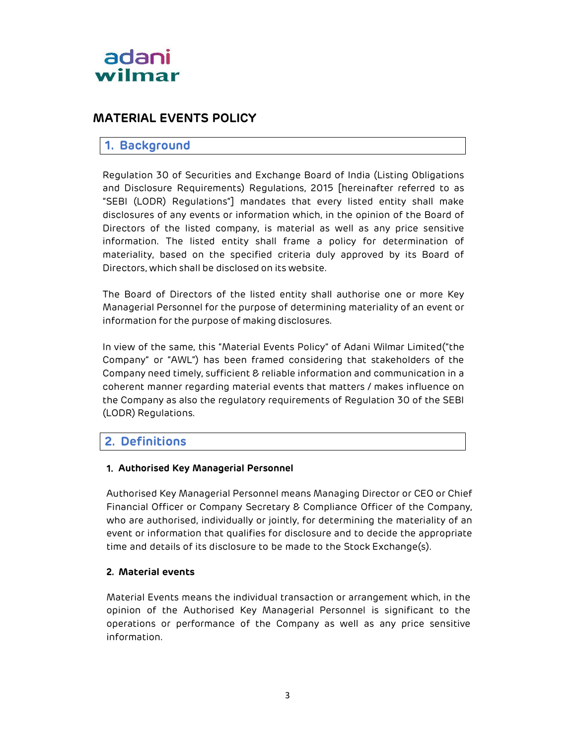

# MATERIAL EVENTS POLICY

### 1. Background

Regulation 30 of Securities and Exchange Board of India (Listing Obligations and Disclosure Requirements) Regulations, 2015 [hereinafter referred to as "SEBI (LODR) Regulations"] mandates that every listed entity shall make disclosures of any events or information which, in the opinion of the Board of Directors of the listed company, is material as well as any price sensitive information. The listed entity shall frame a policy for determination of materiality, based on the specified criteria duly approved by its Board of Directors, which shall be disclosed on its website.

The Board of Directors of the listed entity shall authorise one or more Key Managerial Personnel for the purpose of determining materiality of an event or information for the purpose of making disclosures.

In view of the same, this "Material Events Policy" of Adani Wilmar Limited ("the Company" or "AWL") has been framed considering that stakeholders of the Company need timely, sufficient & reliable information and communication in a coherent manner regarding material events that matters / makes influence on the Company as also the regulatory requirements of Regulation 30 of the SEBI (LODR) Regulations.

### 2. Definitions

#### 1. Authorised Key Managerial Personnel

Authorised Key Managerial Personnel means Managing Director or CEO or Chief Financial Officer or Company Secretary & Compliance Officer of the Company, who are authorised, individually or jointly, for determining the materiality of an event or information that qualifies for disclosure and to decide the appropriate time and details of its disclosure to be made to the Stock Exchange(s).

#### 2. Material events

Material Events means the individual transaction or arrangement which, in the opinion of the Authorised Key Managerial Personnel is significant to the operations or performance of the Company as well as any price sensitive information.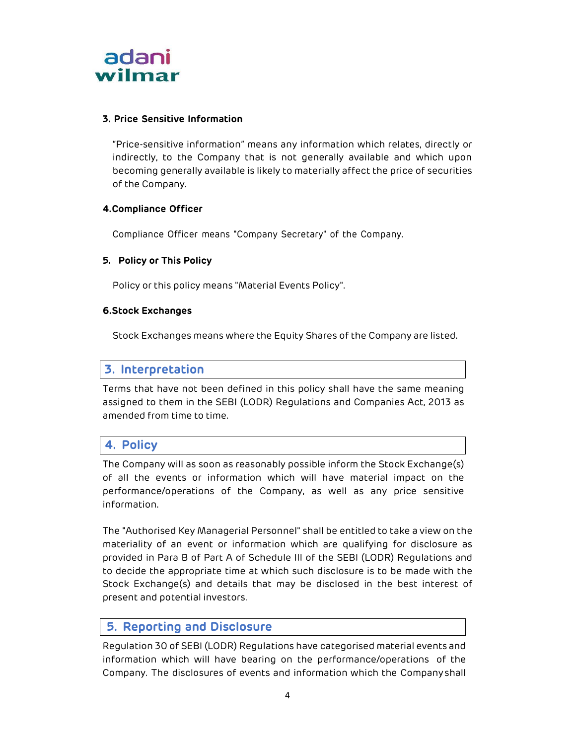

#### 3. Price Sensitive Information

"Price-sensitive information" means any information which relates, directly or indirectly, to the Company that is not generally available and which upon becoming generally available is likely to materially affect the price of securities of the Company.

#### 4.Compliance Officer

Compliance Officer means "Company Secretary" of the Company.

#### 5. Policy or This Policy

Policy or this policy means "Material Events Policy".

#### 6.Stock Exchanges

Stock Exchanges means where the Equity Shares of the Company are listed.

### 3. Interpretation

Terms that have not been defined in this policy shall have the same meaning assigned to them in the SEBI (LODR) Regulations and Companies Act, 2013 as amended from time to time.

### 4. Policy

The Company will as soon as reasonably possible inform the Stock Exchange(s) of all the events or information which will have material impact on the performance/operations of the Company, as well as any price sensitive information.

The "Authorised Key Managerial Personnel" shall be entitled to take a view on the materiality of an event or information which are qualifying for disclosure as provided in Para B of Part A of Schedule III of the SEBI (LODR) Regulations and to decide the appropriate time at which such disclosure is to be made with the Stock Exchange(s) and details that may be disclosed in the best interest of present and potential investors.

### 5. Reporting and Disclosure

Regulation 30 of SEBI (LODR) Regulations have categorised material events and information which will have bearing on the performance/operations of the Company. The disclosures of events and information which the Company shall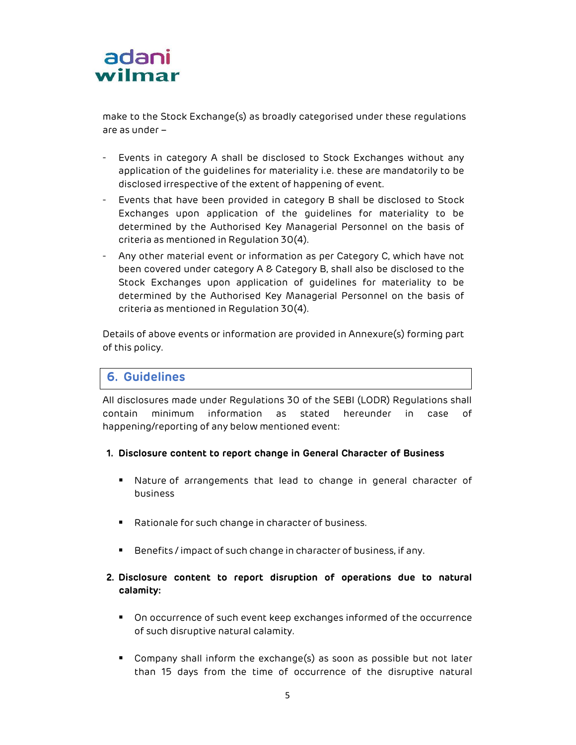

make to the Stock Exchange(s) as broadly categorised under these regulations are as under –

- Events in category A shall be disclosed to Stock Exchanges without any application of the guidelines for materiality i.e. these are mandatorily to be disclosed irrespective of the extent of happening of event.
- Events that have been provided in category B shall be disclosed to Stock Exchanges upon application of the guidelines for materiality to be determined by the Authorised Key Managerial Personnel on the basis of criteria as mentioned in Regulation 30(4).
- Any other material event or information as per Category C, which have not been covered under category A & Category B, shall also be disclosed to the Stock Exchanges upon application of guidelines for materiality to be determined by the Authorised Key Managerial Personnel on the basis of criteria as mentioned in Regulation 30(4).

Details of above events or information are provided in Annexure(s) forming part of this policy.

# 6. Guidelines

All disclosures made under Regulations 30 of the SEBI (LODR) Regulations shall contain minimum information as stated hereunder in case of happening/reporting of any below mentioned event:

#### 1. Disclosure content to report change in General Character of Business

- Nature of arrangements that lead to change in general character of business
- Rationale for such change in character of business.
- Benefits / impact of such change in character of business, if any.

### 2. Disclosure content to report disruption of operations due to natural calamity:

- On occurrence of such event keep exchanges informed of the occurrence of such disruptive natural calamity.
- Company shall inform the exchange(s) as soon as possible but not later than 15 days from the time of occurrence of the disruptive natural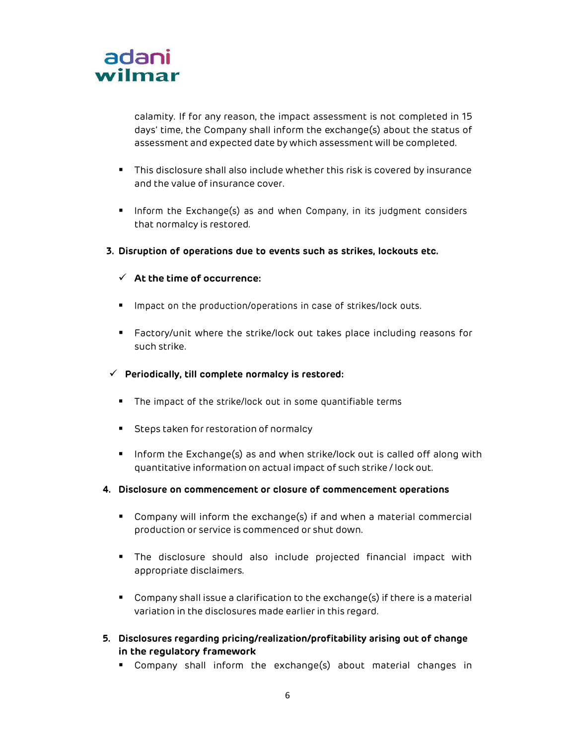

calamity. If for any reason, the impact assessment is not completed in 15 days' time, the Company shall inform the exchange(s) about the status of assessment and expected date by which assessment will be completed.

- This disclosure shall also include whether this risk is covered by insurance and the value of insurance cover.
- **Inform the Exchange(s) as and when Company, in its judgment considers** that normalcy is restored.
- 3. Disruption of operations due to events such as strikes, lockouts etc.

#### $\checkmark$  At the time of occurrence:

- **Impact on the production/operations in case of strikes/lock outs.**
- Factory/unit where the strike/lock out takes place including reasons for such strike.
- $\checkmark$  Periodically, till complete normalcy is restored:
	- The impact of the strike/lock out in some quantifiable terms
	- **Steps taken for restoration of normalcy**
	- **Inform the Exchange(s) as and when strike/lock out is called off along with** quantitative information on actual impact of such strike / lock out.
- 4. Disclosure on commencement or closure of commencement operations
	- Company will inform the exchange(s) if and when a material commercial production or service is commenced or shut down.
	- The disclosure should also include projected financial impact with appropriate disclaimers.
	- Company shall issue a clarification to the exchange(s) if there is a material variation in the disclosures made earlier in this regard.
- 5. Disclosures regarding pricing/realization/profitability arising out of change in the regulatory framework
	- Company shall inform the exchange(s) about material changes in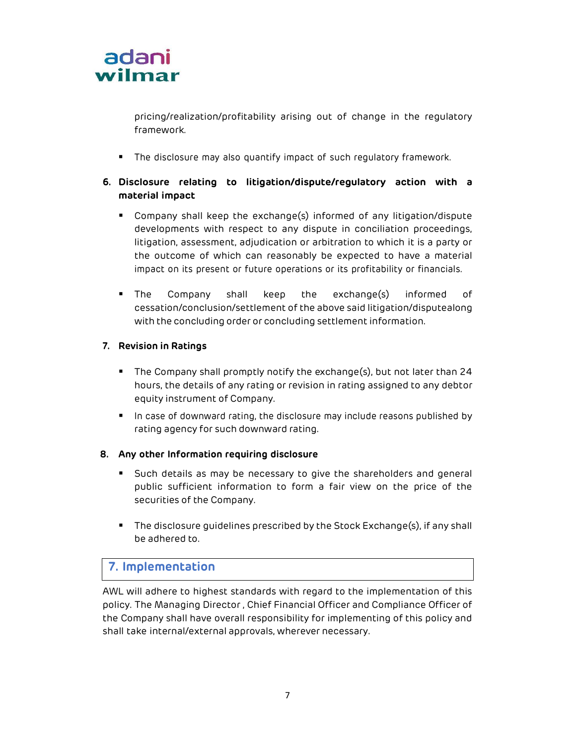

pricing/realization/profitability arising out of change in the regulatory framework.

The disclosure may also quantify impact of such regulatory framework.

### 6. Disclosure relating to litigation/dispute/regulatory action with a material impact

- Company shall keep the exchange(s) informed of any litigation/dispute developments with respect to any dispute in conciliation proceedings, litigation, assessment, adjudication or arbitration to which it is a party or the outcome of which can reasonably be expected to have a material impact on its present or future operations or its profitability or financials.
- The Company shall keep the exchange(s) informed of cessation/conclusion/settlement of the above said litigation/dispute along with the concluding order or concluding settlement information.

#### 7. Revision in Ratings

- The Company shall promptly notify the exchange(s), but not later than 24 hours, the details of any rating or revision in rating assigned to any debtor equity instrument of Company.
- **IF** In case of downward rating, the disclosure may include reasons published by rating agency for such downward rating.

#### 8. Any other Information requiring disclosure

- Such details as may be necessary to give the shareholders and general public sufficient information to form a fair view on the price of the securities of the Company.
- The disclosure guidelines prescribed by the Stock Exchange(s), if any shall be adhered to.

# 7. Implementation

AWL will adhere to highest standards with regard to the implementation of this policy. The Managing Director , Chief Financial Officer and Compliance Officer of the Company shall have overall responsibility for implementing of this policy and shall take internal/external approvals, wherever necessary.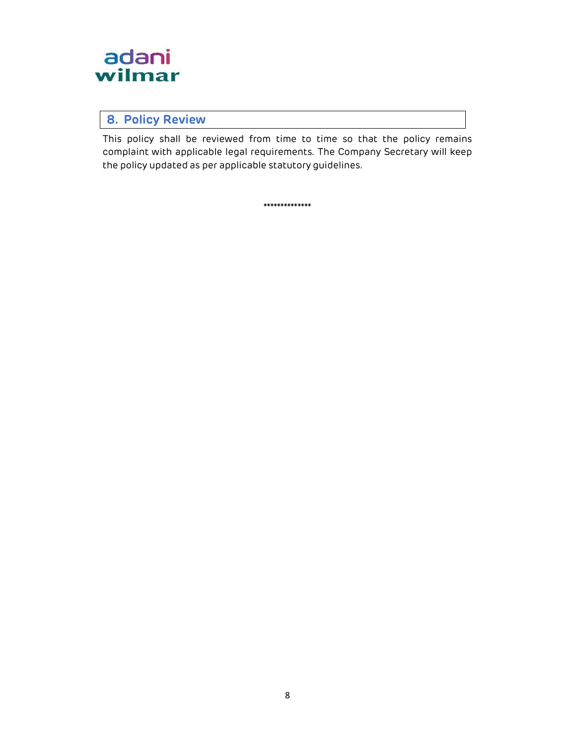

## 8. Policy Review

This policy shall be reviewed from time to time so that the policy remains complaint with applicable legal requirements. The Company Secretary will keep the policy updated as per applicable statutory guidelines.

\*\*\*\*\*\*\*\*\*\*\*\*\*\*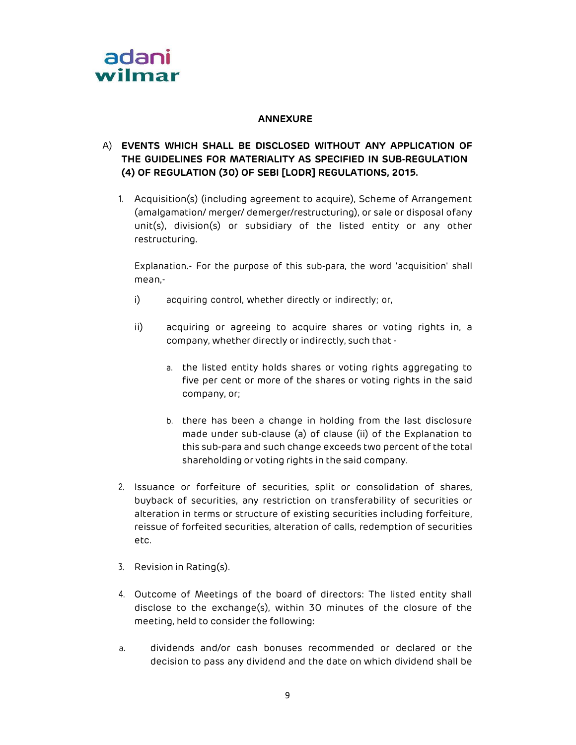

#### ANNEXURE

### A) EVENTS WHICH SHALL BE DISCLOSED WITHOUT ANY APPLICATION OF THE GUIDELINES FOR MATERIALITY AS SPECIFIED IN SUB-REGULATION (4) OF REGULATION (30) OF SEBI [LODR] REGULATIONS, 2015.

1. Acquisition(s) (including agreement to acquire), Scheme of Arrangement (amalgamation/ merger/ demerger/restructuring), or sale or disposal of any unit(s), division(s) or subsidiary of the listed entity or any other restructuring.

Explanation.- For the purpose of this sub-para, the word 'acquisition' shall mean,-

- i) acquiring control, whether directly or indirectly; or,
- ii) acquiring or agreeing to acquire shares or voting rights in, a company, whether directly or indirectly, such that
	- a. the listed entity holds shares or voting rights aggregating to five per cent or more of the shares or voting rights in the said company, or;
	- b. there has been a change in holding from the last disclosure made under sub-clause (a) of clause (ii) of the Explanation to this sub-para and such change exceeds two percent of the total shareholding or voting rights in the said company.
- 2. Issuance or forfeiture of securities, split or consolidation of shares, buyback of securities, any restriction on transferability of securities or alteration in terms or structure of existing securities including forfeiture, reissue of forfeited securities, alteration of calls, redemption of securities etc.
- 3. Revision in Rating(s).
- 4. Outcome of Meetings of the board of directors: The listed entity shall disclose to the exchange(s), within 30 minutes of the closure of the meeting, held to consider the following:
- a. dividends and/or cash bonuses recommended or declared or the decision to pass any dividend and the date on which dividend shall be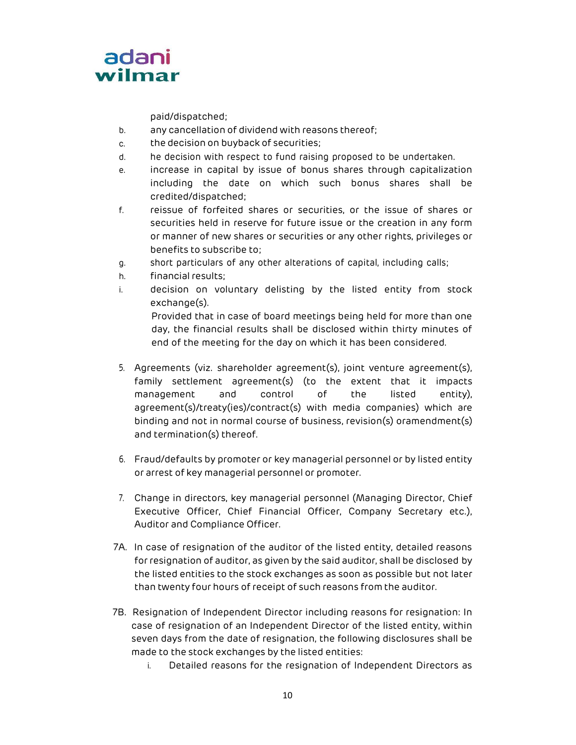

paid/dispatched;

- b. any cancellation of dividend with reasons thereof;
- c. the decision on buyback of securities;
- d. he decision with respect to fund raising proposed to be undertaken.
- e. increase in capital by issue of bonus shares through capitalization including the date on which such bonus shares shall be credited/dispatched;
- f. reissue of forfeited shares or securities, or the issue of shares or securities held in reserve for future issue or the creation in any form or manner of new shares or securities or any other rights, privileges or benefits to subscribe to;
- g. short particulars of any other alterations of capital, including calls;
- h. financial results;
- i. decision on voluntary delisting by the listed entity from stock exchange(s). Provided that in case of board meetings being held for more than one day, the financial results shall be disclosed within thirty minutes of end of the meeting for the day on which it has been considered.
- 5. Agreements (viz. shareholder agreement(s), joint venture agreement(s), family settlement agreement(s) (to the extent that it impacts management and control of the listed entity), agreement(s)/treaty(ies)/contract(s) with media companies) which are binding and not in normal course of business, revision(s) oramendment(s) and termination(s) thereof.
- 6. Fraud/defaults by promoter or key managerial personnel or by listed entity or arrest of key managerial personnel or promoter.
- 7. Change in directors, key managerial personnel (Managing Director, Chief Executive Officer, Chief Financial Officer, Company Secretary etc.), Auditor and Compliance Officer.
- 7A. In case of resignation of the auditor of the listed entity, detailed reasons for resignation of auditor, as given by the said auditor, shall be disclosed by the listed entities to the stock exchanges as soon as possible but not later than twenty four hours of receipt of such reasons from the auditor.
- 7B. Resignation of Independent Director including reasons for resignation: In case of resignation of an Independent Director of the listed entity, within seven days from the date of resignation, the following disclosures shall be made to the stock exchanges by the listed entities:
	- i. Detailed reasons for the resignation of Independent Directors as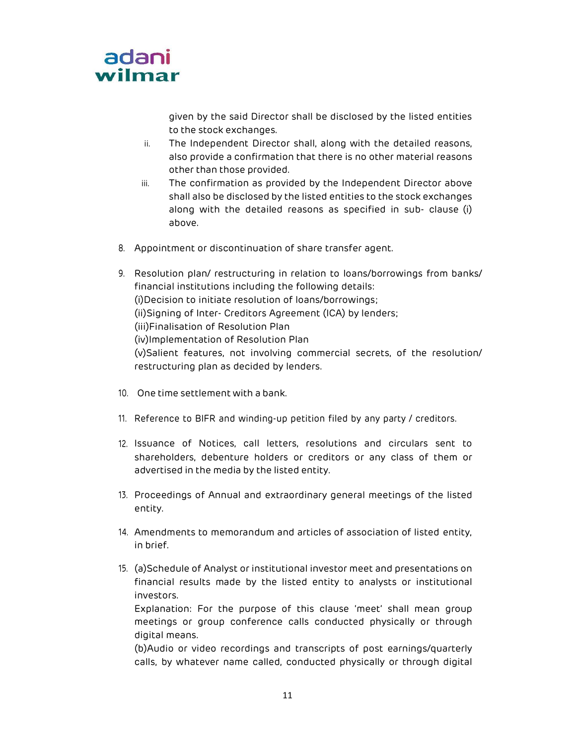

given by the said Director shall be disclosed by the listed entities to the stock exchanges.

- ii. The Independent Director shall, along with the detailed reasons, also provide a confirmation that there is no other material reasons other than those provided.
- iii. The confirmation as provided by the Independent Director above shall also be disclosed by the listed entities to the stock exchanges along with the detailed reasons as specified in sub- clause (i) above.
- 8. Appointment or discontinuation of share transfer agent.
- 9. Resolution plan/ restructuring in relation to loans/borrowings from banks/ financial institutions including the following details: (i)Decision to initiate resolution of loans/borrowings; (ii)Signing of Inter- Creditors Agreement (ICA) by lenders; (iii)Finalisation of Resolution Plan (iv)Implementation of Resolution Plan (v)Salient features, not involving commercial secrets, of the resolution/ restructuring plan as decided by lenders.
- 10. One time settlement with a bank.
- 11. Reference to BIFR and winding-up petition filed by any party / creditors.
- 12. Issuance of Notices, call letters, resolutions and circulars sent to shareholders, debenture holders or creditors or any class of them or advertised in the media by the listed entity.
- 13. Proceedings of Annual and extraordinary general meetings of the listed entity.
- 14. Amendments to memorandum and articles of association of listed entity, in brief.
- 15. (a)Schedule of Analyst or institutional investor meet and presentations on financial results made by the listed entity to analysts or institutional investors.

Explanation: For the purpose of this clause 'meet' shall mean group meetings or group conference calls conducted physically or through digital means.

(b)Audio or video recordings and transcripts of post earnings/quarterly calls, by whatever name called, conducted physically or through digital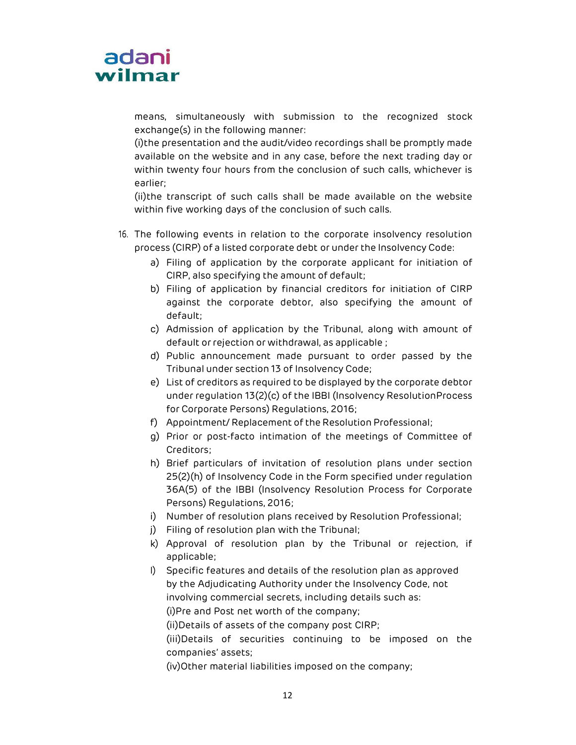

means, simultaneously with submission to the recognized stock exchange(s) in the following manner:

(i)the presentation and the audit/video recordings shall be promptly made available on the website and in any case, before the next trading day or within twenty four hours from the conclusion of such calls, whichever is earlier;

(ii)the transcript of such calls shall be made available on the website within five working days of the conclusion of such calls.

- 16. The following events in relation to the corporate insolvency resolution process (CIRP) of a listed corporate debt or under the Insolvency Code:
	- a) Filing of application by the corporate applicant for initiation of CIRP, also specifying the amount of default;
	- b) Filing of application by financial creditors for initiation of CIRP against the corporate debtor, also specifying the amount of default;
	- c) Admission of application by the Tribunal, along with amount of default or rejection or withdrawal, as applicable ;
	- d) Public announcement made pursuant to order passed by the Tribunal under section 13 of Insolvency Code;
	- e) List of creditors as required to be displayed by the corporate debtor under regulation 13(2)(c) of the IBBI (Insolvency Resolution Process for Corporate Persons) Regulations, 2016;
	- f) Appointment/ Replacement of the Resolution Professional;
	- g) Prior or post-facto intimation of the meetings of Committee of Creditors;
	- h) Brief particulars of invitation of resolution plans under section 25(2)(h) of Insolvency Code in the Form specified under regulation 36A(5) of the IBBI (Insolvency Resolution Process for Corporate Persons) Regulations, 2016;
	- i) Number of resolution plans received by Resolution Professional;
	- j) Filing of resolution plan with the Tribunal;
	- k) Approval of resolution plan by the Tribunal or rejection, if applicable;
	- l) Specific features and details of the resolution plan as approved by the Adjudicating Authority under the Insolvency Code, not involving commercial secrets, including details such as: (i)Pre and Post net worth of the company;

(ii)Details of assets of the company post CIRP;

(iii)Details of securities continuing to be imposed on the companies' assets;

(iv)Other material liabilities imposed on the company;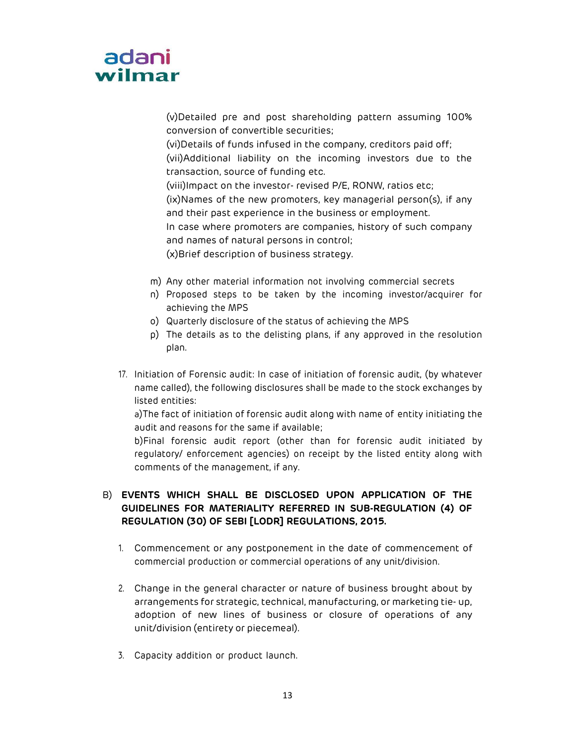

(v)Detailed pre and post shareholding pattern assuming 100% conversion of convertible securities; (vi)Details of funds infused in the company, creditors paid off; (vii)Additional liability on the incoming investors due to the transaction, source of funding etc. (viii)Impact on the investor- revised P/E, RONW, ratios etc; (ix)Names of the new promoters, key managerial person(s), if any and their past experience in the business or employment. In case where promoters are companies, history of such company and names of natural persons in control; (x)Brief description of business strategy.

- m) Any other material information not involving commercial secrets
- n) Proposed steps to be taken by the incoming investor/acquirer for achieving the MPS
- o) Quarterly disclosure of the status of achieving the MPS
- p) The details as to the delisting plans, if any approved in the resolution plan.
- 17. Initiation of Forensic audit: In case of initiation of forensic audit, (by whatever name called), the following disclosures shall be made to the stock exchanges by listed entities:

a)The fact of initiation of forensic audit along with name of entity initiating the audit and reasons for the same if available;

b)Final forensic audit report (other than for forensic audit initiated by regulatory/ enforcement agencies) on receipt by the listed entity along with comments of the management, if any.

### B) EVENTS WHICH SHALL BE DISCLOSED UPON APPLICATION OF THE GUIDELINES FOR MATERIALITY REFERRED IN SUB-REGULATION (4) OF REGULATION (30) OF SEBI [LODR] REGULATIONS, 2015.

- 1. Commencement or any postponement in the date of commencement of commercial production or commercial operations of any unit/division.
- 2. Change in the general character or nature of business brought about by arrangements for strategic, technical, manufacturing, or marketing tie- up, adoption of new lines of business or closure of operations of any unit/division (entirety or piecemeal).
- 3. Capacity addition or product launch.